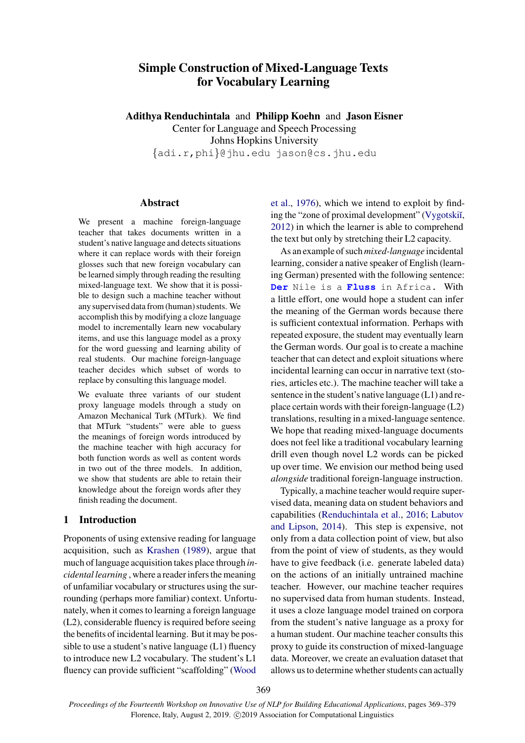# Simple Construction of Mixed-Language Texts for Vocabulary Learning

Adithya Renduchintala and Philipp Koehn and Jason Eisner Center for Language and Speech Processing Johns Hopkins University {adi.r,phi}@jhu.edu jason@cs.jhu.edu

# Abstract

We present a machine foreign-language teacher that takes documents written in a student's native language and detects situations where it can replace words with their foreign glosses such that new foreign vocabulary can be learned simply through reading the resulting mixed-language text. We show that it is possible to design such a machine teacher without any supervised data from (human) students. We accomplish this by modifying a cloze language model to incrementally learn new vocabulary items, and use this language model as a proxy for the word guessing and learning ability of real students. Our machine foreign-language teacher decides which subset of words to replace by consulting this language model.

We evaluate three variants of our student proxy language models through a study on Amazon Mechanical Turk (MTurk). We find that MTurk "students" were able to guess the meanings of foreign words introduced by the machine teacher with high accuracy for both function words as well as content words in two out of the three models. In addition, we show that students are able to retain their knowledge about the foreign words after they finish reading the document.

#### 1 Introduction

Proponents of using extensive reading for language acquisition, such as [Krashen](#page-9-0) [\(1989\)](#page-9-0), argue that much of language acquisition takes place through *incidental learning* , where a reader infers the meaning of unfamiliar vocabulary or structures using the surrounding (perhaps more familiar) context. Unfortunately, when it comes to learning a foreign language (L2), considerable fluency is required before seeing the benefits of incidental learning. But it may be possible to use a student's native language (L1) fluency to introduce new L2 vocabulary. The student's L1 fluency can provide sufficient "scaffolding" [\(Wood](#page-9-1)

[et al.,](#page-9-1) [1976\)](#page-9-1), which we intend to exploit by finding the "zone of proximal development" (Vygotskiı̆, [2012\)](#page-9-2) in which the learner is able to comprehend the text but only by stretching their L2 capacity.

As an example of such *mixed-language* incidental learning, consider a native speaker of English (learning German) presented with the following sentence: **Der** Nile is a **Fluss** in Africa. With a little effort, one would hope a student can infer the meaning of the German words because there is sufficient contextual information. Perhaps with repeated exposure, the student may eventually learn the German words. Our goal is to create a machine teacher that can detect and exploit situations where incidental learning can occur in narrative text (stories, articles etc.). The machine teacher will take a sentence in the student's native language (L1) and replace certain words with their foreign-language (L2) translations, resulting in a mixed-language sentence. We hope that reading mixed-language documents does not feel like a traditional vocabulary learning drill even though novel L2 words can be picked up over time. We envision our method being used *alongside* traditional foreign-language instruction.

Typically, a machine teacher would require supervised data, meaning data on student behaviors and capabilities [\(Renduchintala et al.,](#page-9-3) [2016;](#page-9-3) [Labutov](#page-9-4) [and Lipson,](#page-9-4) [2014\)](#page-9-4). This step is expensive, not only from a data collection point of view, but also from the point of view of students, as they would have to give feedback (i.e. generate labeled data) on the actions of an initially untrained machine teacher. However, our machine teacher requires no supervised data from human students. Instead, it uses a cloze language model trained on corpora from the student's native language as a proxy for a human student. Our machine teacher consults this proxy to guide its construction of mixed-language data. Moreover, we create an evaluation dataset that allows us to determine whether students can actually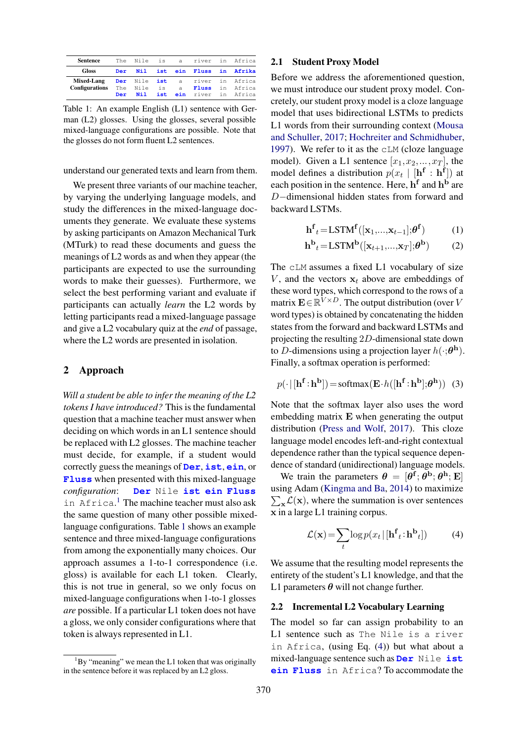<span id="page-1-1"></span>

| <b>Sentence</b>       | The | Nile is  |     | a |       | river in Africa                |
|-----------------------|-----|----------|-----|---|-------|--------------------------------|
| <b>Gloss</b>          | Der | Nil      |     |   |       | ist ein Fluss in Afrika        |
| <b>Mixed-Lang</b>     |     |          |     |   |       | Der Nile ist a river in Africa |
| <b>Configurations</b> |     | The Nile | is  | a | Fluss | in Africa                      |
|                       | Der | Nil      | ist |   |       | ein river in Africa            |

Table 1: An example English (L1) sentence with German (L2) glosses. Using the glosses, several possible mixed-language configurations are possible. Note that the glosses do not form fluent L2 sentences.

understand our generated texts and learn from them.

We present three variants of our machine teacher, by varying the underlying language models, and study the differences in the mixed-language documents they generate. We evaluate these systems by asking participants on Amazon Mechanical Turk (MTurk) to read these documents and guess the meanings of L2 words as and when they appear (the participants are expected to use the surrounding words to make their guesses). Furthermore, we select the best performing variant and evaluate if participants can actually *learn* the L2 words by letting participants read a mixed-language passage and give a L2 vocabulary quiz at the *end* of passage, where the L2 words are presented in isolation.

# 2 Approach

*Will a student be able to infer the meaning of the L2 tokens I have introduced?* This is the fundamental question that a machine teacher must answer when deciding on which words in an L1 sentence should be replaced with L2 glosses. The machine teacher must decide, for example, if a student would correctly guess the meanings of **Der**, **ist**, **ein**, or **Fluss** when presented with this mixed-language *configuration*: **Der** Nile **ist ein Fluss** in Africa. [1](#page-1-0) The machine teacher must also ask the same question of many other possible mixedlanguage configurations. Table [1](#page-1-1) shows an example sentence and three mixed-language configurations from among the exponentially many choices. Our approach assumes a 1-to-1 correspondence (i.e. gloss) is available for each L1 token. Clearly, this is not true in general, so we only focus on mixed-language configurations when 1-to-1 glosses *are* possible. If a particular L1 token does not have a gloss, we only consider configurations where that token is always represented in L1.

#### <span id="page-1-5"></span>2.1 Student Proxy Model

Before we address the aforementioned question, we must introduce our student proxy model. Concretely, our student proxy model is a cloze language model that uses bidirectional LSTMs to predicts L1 words from their surrounding context [\(Mousa](#page-9-5) [and Schuller,](#page-9-5) [2017;](#page-9-5) [Hochreiter and Schmidhuber,](#page-9-6) [1997\)](#page-9-6). We refer to it as the cLM (cloze language model). Given a L1 sentence  $[x_1, x_2,...,x_T]$ , the model defines a distribution  $p(x_t | [\mathbf{h}^f : \mathbf{h}^f])$  at each position in the sentence. Here,  $h<sup>f</sup>$  and  $h<sup>b</sup>$  are D−dimensional hidden states from forward and backward LSTMs.

$$
\mathbf{h}^{\mathbf{f}}_{t} = \text{LSTM}^{\mathbf{f}}([\mathbf{x}_{1},...,\mathbf{x}_{t-1}];\boldsymbol{\theta}^{\mathbf{f}})
$$
(1)

$$
\mathbf{h}^{\mathbf{b}}{}_{t} = \text{LSTM}^{\mathbf{b}}([\mathbf{x}_{t+1}, ..., \mathbf{x}_{T}]; \boldsymbol{\theta}^{\mathbf{b}})
$$
(2)

The cLM assumes a fixed L1 vocabulary of size V, and the vectors  $x_t$  above are embeddings of these word types, which correspond to the rows of a matrix  $\mathbf{E} \in \mathbb{R}^{V \times D}$ . The output distribution (over V word types) is obtained by concatenating the hidden states from the forward and backward LSTMs and projecting the resulting 2D-dimensional state down to D-dimensions using a projection layer  $h(\cdot;\boldsymbol{\theta}^{\mathbf{h}})$ . Finally, a softmax operation is performed:

<span id="page-1-3"></span>
$$
p(\cdot | [\mathbf{h}^{\mathbf{f}} \! : \! \mathbf{h}^{\mathbf{b}}]) = \text{softmax}(\mathbf{E} \cdot h([\mathbf{h}^{\mathbf{f}} \! : \! \mathbf{h}^{\mathbf{b}}]; \boldsymbol{\theta}^{\mathbf{h}})) \tag{3}
$$

Note that the softmax layer also uses the word embedding matrix E when generating the output distribution [\(Press and Wolf,](#page-9-7) [2017\)](#page-9-7). This cloze language model encodes left-and-right contextual dependence rather than the typical sequence dependence of standard (unidirectional) language models.

We train the parameters  $\theta = [\theta^f; \theta^b; \theta^h; E]$ using Adam ( [Kingma and Ba,](#page-9-8) [2014\)](#page-9-8) to maximize  $\sum_{\mathbf{x}} \mathcal{L}(\mathbf{x})$ , where the summation is over sentences x in a large L1 training corpus.

<span id="page-1-2"></span>
$$
\mathcal{L}(\mathbf{x}) = \sum_{t} \log p(x_t | [\mathbf{h}^{\mathbf{f}}_t : \mathbf{h}^{\mathbf{b}}_t])
$$
 (4)

We assume that the resulting model represents the entirety of the student's L1 knowledge, and that the L1 parameters  $\theta$  will not change further.

# <span id="page-1-4"></span>2.2 Incremental L2 Vocabulary Learning

The model so far can assign probability to an L1 sentence such as The Nile is a river in Africa, (using Eq. [\(4\)](#page-1-2)) but what about a mixed-language sentence such as **Der** Nile **ist ein Fluss** in Africa? To accommodate the

<span id="page-1-0"></span> ${}^{1}$ By "meaning" we mean the L1 token that was originally in the sentence before it was replaced by an L2 gloss.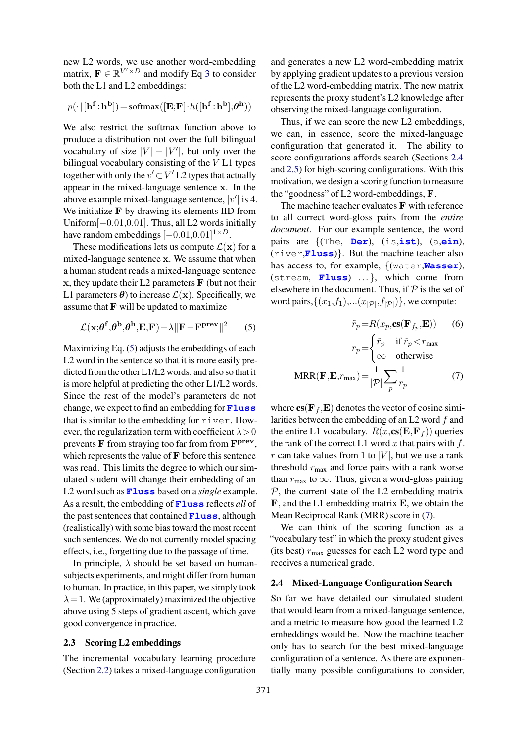new L2 words, we use another word-embedding matrix,  $\mathbf{F} \in \mathbb{R}^{V' \times D}$  and modify Eq [3](#page-1-3) to consider both the L1 and L2 embeddings:

$$
p(\cdot \,|\,[\mathbf{h}^\mathbf{f}\!:\!\mathbf{h}^\mathbf{b}])\!=\!\text{softmax}([\mathbf{E};\!\mathbf{F}]\!\cdot\!h([\mathbf{h}^\mathbf{f}\!:\!\mathbf{h}^\mathbf{b}];\!\boldsymbol{\theta}^\mathbf{h}))
$$

We also restrict the softmax function above to produce a distribution not over the full bilingual vocabulary of size  $|V| + |V'|$ , but only over the bilingual vocabulary consisting of the V L1 types together with only the  $v' \subset V'$  L2 types that actually appear in the mixed-language sentence x. In the above example mixed-language sentence,  $|v'|$  is 4. We initialize F by drawing its elements IID from Uniform[−0.01,0.01]. Thus, all L2 words initially have random embeddings  $[-0.01, 0.01]^{1 \times D}$ .

These modifications lets us compute  $\mathcal{L}(\mathbf{x})$  for a mixed-language sentence x. We assume that when a human student reads a mixed-language sentence  $x$ , they update their L2 parameters  $\bf{F}$  (but not their L1 parameters  $\boldsymbol{\theta}$ ) to increase  $\mathcal{L}(\mathbf{x})$ . Specifically, we assume that  **will be updated to maximize** 

$$
\mathcal{L}(\mathbf{x}; \theta^{\mathbf{f}}, \theta^{\mathbf{b}}, \theta^{\mathbf{h}}, \mathbf{E}, \mathbf{F}) - \lambda \|\mathbf{F} - \mathbf{F}^{\mathbf{prev}}\|^2 \qquad (5)
$$

Maximizing Eq. [\(5\)](#page-2-0) adjusts the embeddings of each L2 word in the sentence so that it is more easily predicted from the other L1/L2 words, and also so that it is more helpful at predicting the other L1/L2 words. Since the rest of the model's parameters do not change, we expect to find an embedding for **Fluss** that is similar to the embedding for river. However, the regularization term with coefficient  $\lambda > 0$ prevents F from straying too far from from F<sup>prev</sup>, which represents the value of F before this sentence was read. This limits the degree to which our simulated student will change their embedding of an L2 word such as **Fluss** based on a *single* example. As a result, the embedding of **Fluss** reflects *all* of the past sentences that contained **Fluss**, although (realistically) with some bias toward the most recent such sentences. We do not currently model spacing effects, i.e., forgetting due to the passage of time.

In principle,  $\lambda$  should be set based on humansubjects experiments, and might differ from human to human. In practice, in this paper, we simply took  $\lambda = 1$ . We (approximately) maximized the objective above using 5 steps of gradient ascent, which gave good convergence in practice.

#### <span id="page-2-3"></span>2.3 Scoring L2 embeddings

The incremental vocabulary learning procedure (Section [2.2\)](#page-1-4) takes a mixed-language configuration

and generates a new L2 word-embedding matrix by applying gradient updates to a previous version of the L2 word-embedding matrix. The new matrix represents the proxy student's L2 knowledge after observing the mixed-language configuration.

Thus, if we can score the new L2 embeddings, we can, in essence, score the mixed-language configuration that generated it. The ability to score configurations affords search (Sections [2.4](#page-2-1) and [2.5\)](#page-3-0) for high-scoring configurations. With this motivation, we design a scoring function to measure the "goodness" of L2 word-embeddings, F.

The machine teacher evaluates F with reference to all correct word-gloss pairs from the *entire document*. For our example sentence, the word pairs are {(The, **Der**), (is,**ist**), (a,**ein**), (river,**Fluss**)}. But the machine teacher also has access to, for example, {(water,**Wasser**), (stream, Fluss) ...}, which come from elsewhere in the document. Thus, if  $P$  is the set of word pairs,  $\{(x_1,f_1),...(x_{|\mathcal{P}|},f_{|\mathcal{P}|})\}$ , we compute:

<span id="page-2-2"></span><span id="page-2-0"></span>
$$
\tilde{r}_p = R(x_p, \mathbf{cs}(\mathbf{F}_{f_p}, \mathbf{E})) \qquad (6)
$$

$$
r_p = \begin{cases} \tilde{r}_p & \text{if } \tilde{r}_p < r_{\text{max}} \\ \infty & \text{otherwise} \end{cases}
$$

$$
\text{MRR}(\mathbf{F}, \mathbf{E}, r_{\text{max}}) = \frac{1}{|\mathcal{P}|} \sum_p \frac{1}{r_p} \qquad (7)
$$

where  $cs(\mathbf{F}_f, \mathbf{E})$  denotes the vector of cosine similarities between the embedding of an  $L2$  word  $f$  and the entire L1 vocabulary.  $R(x,\text{cs}(E, F_f))$  queries the rank of the correct L1 word x that pairs with  $f$ . r can take values from 1 to  $|V|$ , but we use a rank threshold  $r_{\text{max}}$  and force pairs with a rank worse than  $r_{\text{max}}$  to  $\infty$ . Thus, given a word-gloss pairing  $P$ , the current state of the L2 embedding matrix F, and the L1 embedding matrix E, we obtain the Mean Reciprocal Rank (MRR) score in [\(7\)](#page-2-2).

We can think of the scoring function as a "vocabulary test" in which the proxy student gives (its best)  $r_{\text{max}}$  guesses for each L2 word type and receives a numerical grade.

#### <span id="page-2-1"></span>2.4 Mixed-Language Configuration Search

So far we have detailed our simulated student that would learn from a mixed-language sentence, and a metric to measure how good the learned L2 embeddings would be. Now the machine teacher only has to search for the best mixed-language configuration of a sentence. As there are exponentially many possible configurations to consider,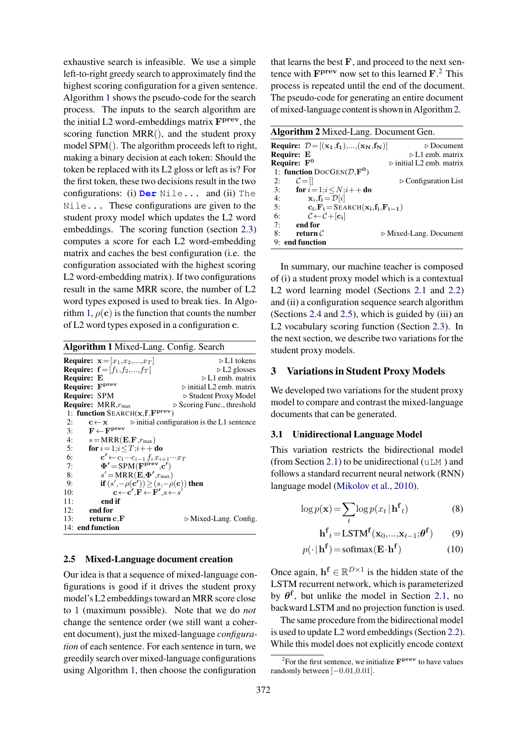exhaustive search is infeasible. We use a simple left-to-right greedy search to approximately find the highest scoring configuration for a given sentence. Algorithm [1](#page-3-1) shows the pseudo-code for the search process. The inputs to the search algorithm are the initial L2 word-embeddings matrix  $\mathbf{F}^{\mathbf{prev}}$ , the scoring function MRR(), and the student proxy model SPM(). The algorithm proceeds left to right, making a binary decision at each token: Should the token be replaced with its L2 gloss or left as is? For the first token, these two decisions result in the two configurations: (i) **Der** Nile... and (ii) The Nile... These configurations are given to the student proxy model which updates the L2 word embeddings. The scoring function (section [2.3\)](#page-2-3) computes a score for each L2 word-embedding matrix and caches the best configuration (i.e. the configuration associated with the highest scoring L2 word-embedding matrix). If two configurations result in the same MRR score, the number of L2 word types exposed is used to break ties. In Algo-rithm [1,](#page-3-1)  $\rho(c)$  is the function that counts the number of L2 word types exposed in a configuration c.

<span id="page-3-1"></span>Algorithm 1 Mixed-Lang. Config. Search **Require:**  $\mathbf{x} = [x_1, x_2, ..., x_T]$   $\triangleright \text{L1 tokens}$ <br> **Require:**  $\mathbf{f} = [f_1, f_2, ..., f_T]$   $\triangleright \text{L2 glosses}$ **Require:**  $f = [f_1, f_2, ..., f_T]$ **Require:** E  $\triangleright$  L1 emb. matrix Require: F<sup>prev</sup>  $\triangleright$  initial L2 emb. matrix Require: SPM  $\triangleright$  Student Proxy Model **Require:** MRR, $r_{\text{max}}$   $\triangleright$  Scoring Func., threshold 1: function SEARCH(x,f,Fprev) 2:  $c \leftarrow x$   $\triangleright$  initial configuration is the L1 sentence<br>3:  $F \leftarrow F^{\text{prev}}$ 3:  $\mathbf{F} \leftarrow \mathbf{F}^{\text{prev}}$ 4:  $s = MRR(E, F, r_{max})$ <br>5: **for**  $i = 1; i < T; i++e$ for  $i = 1; i \leq T; i++$  do 6:  $\mathbf{c'} \leftarrow c_1 \cdots c_{i-1} f_i x_{i+1} \cdots x_T$ 7:  $\Phi' = \text{SPM}(\mathbf{F}^{\text{prev}}, \mathbf{c'})$  $\frac{8}{9}$  $\mathbf{C} = \text{MRR}(\mathbf{E}, \mathbf{\Phi}', r_{\text{max}})$ 9: **if**  $(s', -\rho(\mathbf{c'})) \geq (s, -\rho(\mathbf{c}))$  then 10:  $\mathbf{c} \leftarrow \mathbf{c}', \mathbf{F} \leftarrow \mathbf{F}', s \leftarrow s'$ 11: end if 12: end for 13: **return c, F**  $\triangleright$  Mixed-Lang. Config. 14: end function

#### <span id="page-3-0"></span>2.5 Mixed-Language document creation

Our idea is that a sequence of mixed-language configurations is good if it drives the student proxy model's L2 embeddings toward an MRR score close to 1 (maximum possible). Note that we do *not* change the sentence order (we still want a coherent document), just the mixed-language *configuration* of each sentence. For each sentence in turn, we greedily search over mixed-language configurations using Algorithm [1,](#page-3-1) then choose the configuration

that learns the best  $\mathbf F$ , and proceed to the next sentence with  $\mathbf{F}^{\text{prev}}$  now set to this learned  $\mathbf{F}$ <sup>[2](#page-3-2)</sup>. This process is repeated until the end of the document. The pseudo-code for generating an entire document of mixed-language content is shown in Algorithm[2.](#page-3-3)

<span id="page-3-3"></span>

| <b>Algorithm 2</b> Mixed-Lang. Document Gen.                                                           |                                         |  |  |  |  |  |  |
|--------------------------------------------------------------------------------------------------------|-----------------------------------------|--|--|--|--|--|--|
| <b>Require:</b> $\mathcal{D} = [({\bf x}_1, {\bf f}_1), , ({\bf x}_N, {\bf f}_N)]$                     | $\triangleright$ Document               |  |  |  |  |  |  |
| Require: E                                                                                             | $\triangleright$ L1 emb. matrix         |  |  |  |  |  |  |
| Require: $F^0$                                                                                         | $\triangleright$ initial L2 emb. matrix |  |  |  |  |  |  |
| 1: function $\text{DOCGen}(\mathcal{D}, \mathbf{F}^0)$                                                 |                                         |  |  |  |  |  |  |
| 2:<br>$\mathcal{C} = \mathcal{U}$                                                                      | $\triangleright$ Configuration List     |  |  |  |  |  |  |
| for $i = 1; i \le N; i++$ do<br>3:                                                                     |                                         |  |  |  |  |  |  |
| $\mathbf{x}_i$ , $\mathbf{f_i} = \mathcal{D}[i]$<br>4:                                                 |                                         |  |  |  |  |  |  |
| $\mathbf{c}_i$ , $\mathbf{F}_i$ = SEARCH( $\mathbf{x}_i$ , $\mathbf{f}_i$ , $\mathbf{F}_{i-1}$ )<br>5: |                                         |  |  |  |  |  |  |
| $\mathcal{C} \leftarrow \mathcal{C} + [\mathbf{c}_i]$<br>6:                                            |                                         |  |  |  |  |  |  |
| end for<br>7:                                                                                          |                                         |  |  |  |  |  |  |
| return $\mathcal C$<br>8:                                                                              | $\triangleright$ Mixed-Lang. Document   |  |  |  |  |  |  |
| 9: end function                                                                                        |                                         |  |  |  |  |  |  |

In summary, our machine teacher is composed of (i) a student proxy model which is a contextual L2 word learning model (Sections [2.1](#page-1-5) and [2.2\)](#page-1-4) and (ii) a configuration sequence search algorithm (Sections [2.4](#page-2-1) and [2.5\)](#page-3-0), which is guided by (iii) an L2 vocabulary scoring function (Section [2.3\)](#page-2-3). In the next section, we describe two variations for the student proxy models.

# 3 Variations in Student Proxy Models

We developed two variations for the student proxy model to compare and contrast the mixed-language documents that can be generated.

#### 3.1 Unidirectional Language Model

This variation restricts the bidirectional model (from Section [2.1\)](#page-1-5) to be unidirectional  $(uLM)$  and follows a standard recurrent neural network (RNN) language model [\(Mikolov et al.,](#page-9-9) [2010\)](#page-9-9).

$$
\log p(\mathbf{x}) = \sum_{t} \log p(x_t | \mathbf{h}^{\mathbf{f}}_t)
$$
 (8)

$$
\mathbf{h}^{\mathbf{f}}_{t} = \text{LSTM}^{\mathbf{f}}(\mathbf{x}_{0},...,\mathbf{x}_{t-1};\boldsymbol{\theta}^{\mathbf{f}})
$$
(9)

$$
p(\cdot | \mathbf{h}^{\mathbf{f}}) = \text{softmax}(\mathbf{E} \cdot \mathbf{h}^{\mathbf{f}})
$$
 (10)

Once again,  $\mathbf{h}^{\text{f}} \in \mathbb{R}^{D \times 1}$  is the hidden state of the LSTM recurrent network, which is parameterized by  $\theta^f$ , but unlike the model in Section [2.1,](#page-1-5) no backward LSTM and no projection function is used.

The same procedure from the bidirectional model is used to update L2 word embeddings (Section [2.2\)](#page-1-4). While this model does not explicitly encode context

<span id="page-3-2"></span><sup>&</sup>lt;sup>2</sup>For the first sentence, we initialize  $\mathbf{F}^{\text{prev}}$  to have values randomly between [−0.01,0.01].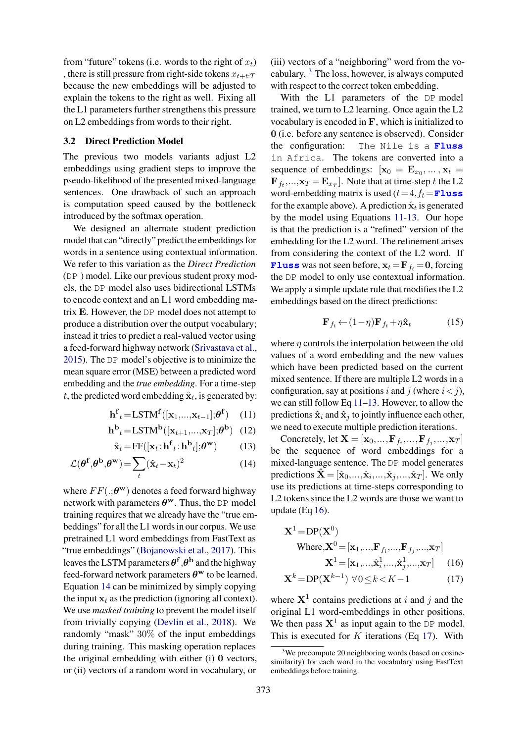from "future" tokens (i.e. words to the right of  $x_t$ ) , there is still pressure from right-side tokens  $x_{t+t:T}$ because the new embeddings will be adjusted to explain the tokens to the right as well. Fixing all the L1 parameters further strengthens this pressure on L2 embeddings from words to their right.

# 3.2 Direct Prediction Model

The previous two models variants adjust L2 embeddings using gradient steps to improve the pseudo-likelihood of the presented mixed-language sentences. One drawback of such an approach is computation speed caused by the bottleneck introduced by the softmax operation.

We designed an alternate student prediction model that can "directly" predict the embeddings for words in a sentence using contextual information. We refer to this variation as the *Direct Prediction* (DP ) model. Like our previous student proxy models, the DP model also uses bidirectional LSTMs to encode context and an L1 word embedding matrix E. However, the DP model does not attempt to produce a distribution over the output vocabulary; instead it tries to predict a real-valued vector using a feed-forward highway network [\(Srivastava et al.,](#page-9-10) [2015\)](#page-9-10). The DP model's objective is to minimize the mean square error (MSE) between a predicted word embedding and the *true embedding*. For a time-step t, the predicted word embedding  $\hat{\mathbf{x}}_t$ , is generated by:

$$
\mathbf{h}^{\mathbf{f}}_{t} = \text{LSTM}^{\mathbf{f}}([\mathbf{x}_{1}, ..., \mathbf{x}_{t-1}]; \theta^{\mathbf{f}})
$$
 (11)

$$
\mathbf{h}^{\mathbf{b}}_{t} = \text{LSTM}^{\mathbf{b}}([\mathbf{x}_{t+1}, ..., \mathbf{x}_{T}]; \theta^{\mathbf{b}}) \tag{12}
$$

$$
\hat{\mathbf{x}}_t = \mathbf{F} \mathbf{F}([\mathbf{x}_t : \mathbf{h}^\mathbf{f}{}_t : \mathbf{h}^\mathbf{b}{}_t]; \boldsymbol{\theta}^\mathbf{w}) \tag{13}
$$

$$
\mathcal{L}(\boldsymbol{\theta}^{\mathbf{f}}, \boldsymbol{\theta}^{\mathbf{b}}, \boldsymbol{\theta}^{\mathbf{w}}) = \sum_{t} (\hat{\mathbf{x}}_t - \mathbf{x}_t)^2
$$
 (14)

where  $FF(.;\theta^w)$  denotes a feed forward highway network with parameters  $\theta^w$ . Thus, the DP model training requires that we already have the "true embeddings" for all the L1 words in our corpus. We use pretrained L1 word embeddings from FastText as "true embeddings" [\(Bojanowski et al.,](#page-9-11) [2017\)](#page-9-11). This leaves the LSTM parameters  $\boldsymbol{\theta}^{\mathrm{f}}$  , $\boldsymbol{\theta}^{\mathrm{b}}$  and the highway feed-forward network parameters  $\theta^w$  to be learned. Equation [14](#page-4-0) can be minimized by simply copying the input  $x_t$  as the prediction (ignoring all context). We use *masked training* to prevent the model itself from trivially copying [\(Devlin et al.,](#page-9-12) [2018\)](#page-9-12). We randomly "mask" 30% of the input embeddings during training. This masking operation replaces the original embedding with either (i) 0 vectors, or (ii) vectors of a random word in vocabulary, or

(iii) vectors of a "neighboring" word from the vocabulary. [3](#page-4-1) The loss, however, is always computed with respect to the correct token embedding.

With the L1 parameters of the DP model trained, we turn to L2 learning. Once again the L2 vocabulary is encoded in F, which is initialized to 0 (i.e. before any sentence is observed). Consider the configuration: The Nile is a **Fluss** in Africa. The tokens are converted into a sequence of embeddings:  $[\mathbf{x}_0 = \mathbf{E}_{x_0}, ..., \mathbf{x}_t]$  ${\bf F}_{f_t},..., {\bf x}_T = {\bf E}_{x_T}$ . Note that at time-step t the L2 word-embedding matrix is used  $(t=4, f_t =$ **Fluss** for the example above). A prediction  $\hat{\mathbf{x}}_t$  is generated by the model using Equations [11-](#page-4-2)[13.](#page-4-3) Our hope is that the prediction is a "refined" version of the embedding for the L2 word. The refinement arises from considering the context of the L2 word. If **Fluss** was not seen before,  $x_t = F_f = 0$ , forcing the DP model to only use contextual information. We apply a simple update rule that modifies the L2 embeddings based on the direct predictions:

$$
\mathbf{F}_{f_t} \leftarrow (1 - \eta) \mathbf{F}_{f_t} + \eta \hat{\mathbf{x}}_t \tag{15}
$$

where  $\eta$  controls the interpolation between the old values of a word embedding and the new values which have been predicted based on the current mixed sentence. If there are multiple L2 words in a configuration, say at positions i and j (where  $i < j$ ), we can still follow Eq [11–](#page-4-2)[13.](#page-4-3) However, to allow the predictions  $\hat{\mathbf{x}}_i$  and  $\hat{\mathbf{x}}_j$  to jointly influence each other, we need to execute multiple prediction iterations.

<span id="page-4-3"></span><span id="page-4-2"></span><span id="page-4-0"></span>Concretely, let  $\mathbf{X} = [\mathbf{x}_0, ..., \mathbf{F}_{f_i}, ..., \mathbf{F}_{f_j}, ..., \mathbf{x}_T]$ be the sequence of word embeddings for a mixed-language sentence. The DP model generates predictions  $\hat{\mathbf{X}} = [\hat{\mathbf{x}}_0, ..., \hat{\mathbf{x}}_i, ..., \hat{\mathbf{x}}_j, ..., \hat{\mathbf{x}}_T]$ . We only use its predictions at time-steps corresponding to L2 tokens since the L2 words are those we want to update (Eq [16\)](#page-4-4).

<span id="page-4-5"></span><span id="page-4-4"></span>
$$
\mathbf{X}^{1} = \text{DP}(\mathbf{X}^{0})
$$
  
Where,  $\mathbf{X}^{0} = [\mathbf{x}_{1}, ..., \mathbf{F}_{f_{i}}, ..., \mathbf{F}_{f_{j}}, ..., \mathbf{x}_{T}]$   
 $\mathbf{X}^{1} = [\mathbf{x}_{1}, ..., \hat{\mathbf{x}}_{i}^{1}, ..., \hat{\mathbf{x}}_{j}^{1}, ..., \mathbf{x}_{T}]$  (16)  
 $\mathbf{X}^{k} = \text{DP}(\mathbf{X}^{k-1}) \ \forall 0 \le k < K - 1$  (17)

where  $X^1$  contains predictions at i and j and the original L1 word-embeddings in other positions. We then pass  $X^1$  as input again to the DP model. This is executed for  $K$  iterations (Eq [17\)](#page-4-5). With

<span id="page-4-1"></span> $3$ We precompute 20 neighboring words (based on cosinesimilarity) for each word in the vocabulary using FastText embeddings before training.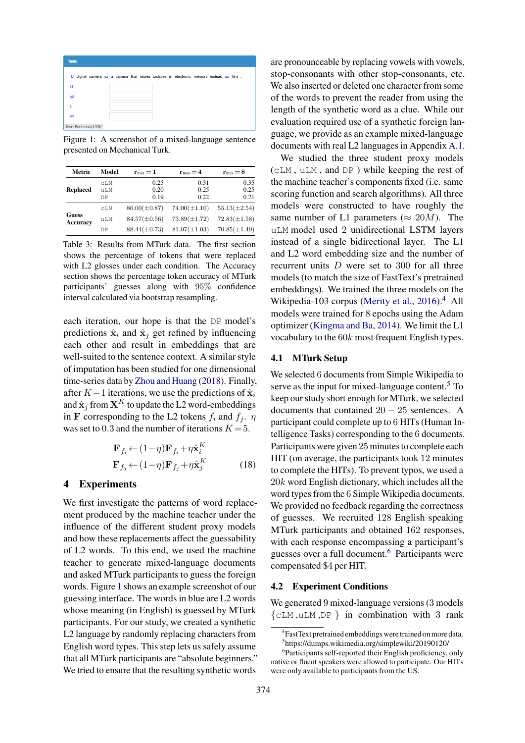<span id="page-5-0"></span>

| Task: |                      |  |  |  |                                                                                         |  |  |  |
|-------|----------------------|--|--|--|-----------------------------------------------------------------------------------------|--|--|--|
|       |                      |  |  |  | U digital camera yz u camera that stores pictures in electronic memory instead az film. |  |  |  |
| U     |                      |  |  |  |                                                                                         |  |  |  |
| yz    |                      |  |  |  |                                                                                         |  |  |  |
| u     |                      |  |  |  |                                                                                         |  |  |  |
| az    |                      |  |  |  |                                                                                         |  |  |  |
|       | Next Sentence (1/23) |  |  |  |                                                                                         |  |  |  |

Figure 1: A screenshot of a mixed-language sentence presented on Mechanical Turk.

<span id="page-5-4"></span>

| Model  | $r_{\rm max}=1$   | $r_{\rm max}=4$   | $r_{\rm max}=8$   |
|--------|-------------------|-------------------|-------------------|
| cLM    | 0.25              | 0.31              | 0.35              |
| 11 T.M | 0.20              | 0.25              | 0.25              |
| DP     | 0.19              | 0.22              | 0.21              |
| CLM    | $86.00(\pm 0.87)$ | $74.00(\pm1.10)$  | $55.13(\pm 2.54)$ |
| uLM    | $84.57(\pm 0.56)$ | $73.89(\pm 1.72)$ | $72.83(\pm 1.58)$ |
| DΡ     | $88.44(\pm 0.73)$ | $81.07(\pm1.03)$  | $70.85(\pm1.49)$  |
|        |                   |                   |                   |

Table 3: Results from MTurk data. The first section shows the percentage of tokens that were replaced with L2 glosses under each condition. The Accuracy section shows the percentage token accuracy of MTurk participants' guesses along with 95% confidence interval calculated via bootstrap resampling.

each iteration, our hope is that the DP model's predictions  $\hat{\mathbf{x}}_i$  and  $\hat{\mathbf{x}}_j$  get refined by influencing each other and result in embeddings that are well-suited to the sentence context. A similar style of imputation has been studied for one dimensional time-series data by [Zhou and Huang](#page-9-13) [\(2018\)](#page-9-13). Finally, after  $K-1$  iterations, we use the predictions of  $\hat{\mathbf{x}}_i$ and  $\hat{\mathbf{x}}_j$  from  $\mathbf{X}^K$  to update the L2 word-embeddings in F corresponding to the L2 tokens  $f_i$  and  $f_j$ .  $\eta$ was set to 0.3 and the number of iterations  $K = 5$ .

$$
\mathbf{F}_{f_i} \leftarrow (1 - \eta) \mathbf{F}_{f_i} + \eta \hat{\mathbf{x}}_i^K
$$
  

$$
\mathbf{F}_{f_j} \leftarrow (1 - \eta) \mathbf{F}_{f_j} + \eta \hat{\mathbf{x}}_j^K
$$
 (18)

#### 4 Experiments

We first investigate the patterns of word replacement produced by the machine teacher under the influence of the different student proxy models and how these replacements affect the guessability of L2 words. To this end, we used the machine teacher to generate mixed-language documents and asked MTurk participants to guess the foreign words. Figure [1](#page-5-0) shows an example screenshot of our guessing interface. The words in blue are L2 words whose meaning (in English) is guessed by MTurk participants. For our study, we created a synthetic L2 language by randomly replacing characters from English word types. This step lets us safely assume that all MTurk participants are "absolute beginners." We tried to ensure that the resulting synthetic words

are pronounceable by replacing vowels with vowels, stop-consonants with other stop-consonants, etc. We also inserted or deleted one character from some of the words to prevent the reader from using the length of the synthetic word as a clue. While our evaluation required use of a synthetic foreign language, we provide as an example mixed-language documents with real L2 languages in Appendix [A.1.](#page-10-0)

We studied the three student proxy models (cLM , uLM , and DP ) while keeping the rest of the machine teacher's components fixed (i.e. same scoring function and search algorithms). All three models were constructed to have roughly the same number of L1 parameters ( $\approx 20M$ ). The uLM model used 2 unidirectional LSTM layers instead of a single bidirectional layer. The L1 and L2 word embedding size and the number of recurrent units D were set to 300 for all three models (to match the size of FastText's pretrained embeddings). We trained the three models on the Wikipedia-103 corpus [\(Merity et al.,](#page-9-14)  $2016$ ).<sup>[4](#page-5-1)</sup> All models were trained for 8 epochs using the Adam optimizer [\(Kingma and Ba,](#page-9-8) [2014\)](#page-9-8). We limit the L1 vocabulary to the 60k most frequent English types.

#### <span id="page-5-5"></span>4.1 MTurk Setup

We selected 6 documents from Simple Wikipedia to serve as the input for mixed-language content. $5$  To keep our study short enough for MTurk, we selected documents that contained  $20 - 25$  sentences. A participant could complete up to 6 HITs (Human Intelligence Tasks) corresponding to the 6 documents. Participants were given 25 minutes to complete each HIT (on average, the participants took 12 minutes to complete the HITs). To prevent typos, we used a 20k word English dictionary, which includes all the word types from the 6 Simple Wikipedia documents. We provided no feedback regarding the correctness of guesses. We recruited 128 English speaking MTurk participants and obtained 162 responses, with each response encompassing a participant's guesses over a full document.[6](#page-5-3) Participants were compensated \$4 per HIT.

#### 4.2 Experiment Conditions

We generated 9 mixed-language versions (3 models {cLM ,uLM ,DP } in combination with 3 rank

<span id="page-5-2"></span><span id="page-5-1"></span><sup>4</sup> FastText pretrained embeddings were trained on more data. 5 https://dumps.wikimedia.org/simplewiki/20190120/

<span id="page-5-3"></span><sup>&</sup>lt;sup>6</sup>Participants self-reported their English proficiency, only native or fluent speakers were allowed to participate. Our HITs were only available to participants from the US.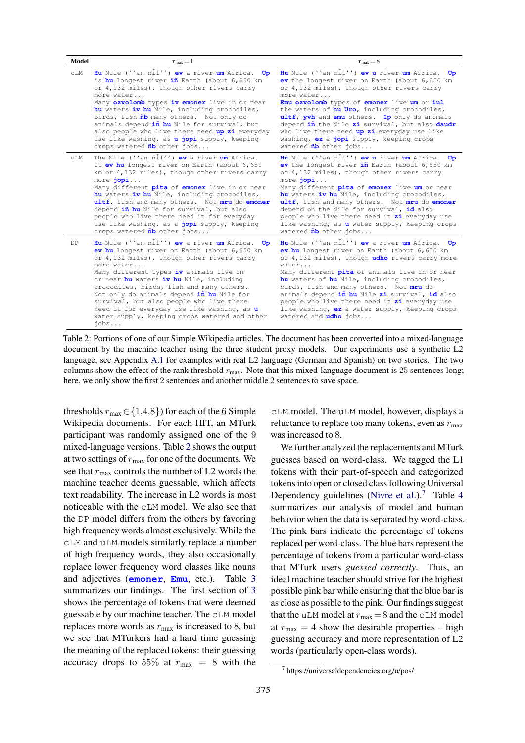<span id="page-6-0"></span>

| Model          | $\mathbf{r}_{\text{max}} = 1$                                                                                                                                                                                                                                                                                                                                                                                                                                                                                                                       | $\mathbf{r}_{\text{max}} = 8$                                                                                                                                                                                                                                                                                                                                                                                                                                                                                 |  |  |  |
|----------------|-----------------------------------------------------------------------------------------------------------------------------------------------------------------------------------------------------------------------------------------------------------------------------------------------------------------------------------------------------------------------------------------------------------------------------------------------------------------------------------------------------------------------------------------------------|---------------------------------------------------------------------------------------------------------------------------------------------------------------------------------------------------------------------------------------------------------------------------------------------------------------------------------------------------------------------------------------------------------------------------------------------------------------------------------------------------------------|--|--|--|
| $\mathtt{CLM}$ | <b>Hu</b> Nile (''an-nil'') <b>ev</b> a river $um$ Africa.<br>Up<br>is hu longest river in Earth (about 6,650 km<br>or 4,132 miles), though other rivers carry<br>more water<br>Many ozvolomb types iv emoner live in or near<br>hu waters iv hu Nile, including crocodiles,<br>birds, fish $\tilde{\mathbf{n}}$ b many others. Not only do<br>animals depend in hu Nile for survival, but<br>also people who live there need up zi everyday<br>use like washing, as <b>u jopi</b> supply, keeping<br>crops watered $\tilde{\mathbf{n}}$ other jobs | Hu Nile (''an-nil'') ev u river um Africa. Up<br>ev the longest river on Earth (about 6,650 km<br>or 4,132 miles), though other rivers carry<br>more water<br>Emu ozvolomb types of emoner live um or iul<br>the waters of hu Uro, including crocodiles,<br>ultf, wh and emu others. Ip only do animals<br>depend in the Nile zi survival, but also daudr<br>who live there need up zi everyday use like<br>washing, ez a jopi supply, keeping crops<br>watered $\tilde{\mathbf{n}}$ b other jobs             |  |  |  |
| uLM            | The Nile (''an-nil'') <b>ev</b> a river um Africa.<br>It ev hu longest river on Earth (about 6,650<br>km or 4,132 miles), though other rivers carry<br>more jopi<br>Many different pita of emoner live in or near<br>hu waters iv hu Nile, including crocodiles,<br>ultf, fish and many others. Not mru do emoner<br>depend in hu Nile for survival, but also<br>people who live there need it for everyday<br>use like washing, as a jopi supply, keeping<br>crops watered $\tilde{\mathbf{n}}$ other jobs                                         | Hu Nile (''an-nil'') ev u river um Africa. Up<br>ev the longest river in Earth (about 6,650 km<br>or 4,132 miles), though other rivers carry<br>more jopi<br>Many different pita of emoner live um or near<br>hu waters iv hu Nile, including crocodiles,<br>ultf, fish and many others. Not mru do emoner<br>depend on the Nile for survival, id also<br>people who live there need it zi everyday use<br>like washing, as <b>u</b> water supply, keeping crops<br>watered $\tilde{\mathbf{n}}$ b other jobs |  |  |  |
| DP             | Hu Nile (''an-nil'') ev a river um Africa. Up<br>ev hu longest river on Earth (about 6,650 km<br>or 4,132 miles), though other rivers carry<br>more water<br>Many different types iv animals live in<br>or near hu waters iv hu Nile, including<br>crocodiles, birds, fish and many others.<br>Not only do animals depend in hu Nile for<br>survival, but also people who live there<br>need it for everyday use like washing, as u<br>water supply, keeping crops watered and other<br>$i$ obs                                                     | Hu Nile (''an-nil'') ev a river um Africa. Up<br>ev hu longest river on Earth (about 6,650 km<br>or 4,132 miles), though udho rivers carry more<br>water<br>Many different pita of animals live in or near<br>hu waters of hu Nile, including crocodiles,<br>birds, fish and many others. Not mru do<br>animals depend in hu Nile zi survival, id also<br>people who live there need it zi everyday use<br>like washing, ez a water supply, keeping crops<br>watered and udho jobs                            |  |  |  |

Table 2: Portions of one of our Simple Wikipedia articles. The document has been converted into a mixed-language document by the machine teacher using the three student proxy models. Our experiments use a synthetic L2 language, see Appendix [A.1](#page-10-0) for examples with real L2 language (German and Spanish) on two stories. The two columns show the effect of the rank threshold  $r_{\text{max}}$ . Note that this mixed-language document is 25 sentences long; here, we only show the first 2 sentences and another middle 2 sentences to save space.

thresholds  $r_{\text{max}} \in \{1,4,8\}$  for each of the 6 Simple Wikipedia documents. For each HIT, an MTurk participant was randomly assigned one of the 9 mixed-language versions. Table [2](#page-6-0) shows the output at two settings of  $r_{\text{max}}$  for one of the documents. We see that  $r_{\text{max}}$  controls the number of L2 words the machine teacher deems guessable, which affects text readability. The increase in L2 words is most noticeable with the cLM model. We also see that the DP model differs from the others by favoring high frequency words almost exclusively. While the cLM and uLM models similarly replace a number of high frequency words, they also occasionally replace lower frequency word classes like nouns and adjectives (**emoner**, **Emu**, etc.). Table [3](#page-5-4) summarizes our findings. The first section of [3](#page-5-4) shows the percentage of tokens that were deemed guessable by our machine teacher. The cLM model replaces more words as  $r_{\text{max}}$  is increased to 8, but we see that MTurkers had a hard time guessing the meaning of the replaced tokens: their guessing accuracy drops to 55% at  $r_{\text{max}} = 8$  with the

cLM model. The uLM model, however, displays a reluctance to replace too many tokens, even as  $r_{\text{max}}$ was increased to 8.

We further analyzed the replacements and MTurk guesses based on word-class. We tagged the L1 tokens with their part-of-speech and categorized tokens into open or closed class following Universal Dependency guidelines [\(Nivre et al.\)](#page-9-15).<sup>[7](#page-6-1)</sup> Table [4](#page-7-0) summarizes our analysis of model and human behavior when the data is separated by word-class. The pink bars indicate the percentage of tokens replaced per word-class. The blue bars represent the percentage of tokens from a particular word-class that MTurk users *guessed correctly*. Thus, an ideal machine teacher should strive for the highest possible pink bar while ensuring that the blue bar is as close as possible to the pink. Our findings suggest that the uLM model at  $r_{\text{max}} = 8$  and the cLM model at  $r_{\text{max}} = 4$  show the desirable properties – high guessing accuracy and more representation of L2 words (particularly open-class words).

<span id="page-6-1"></span><sup>7</sup> https://universaldependencies.org/u/pos/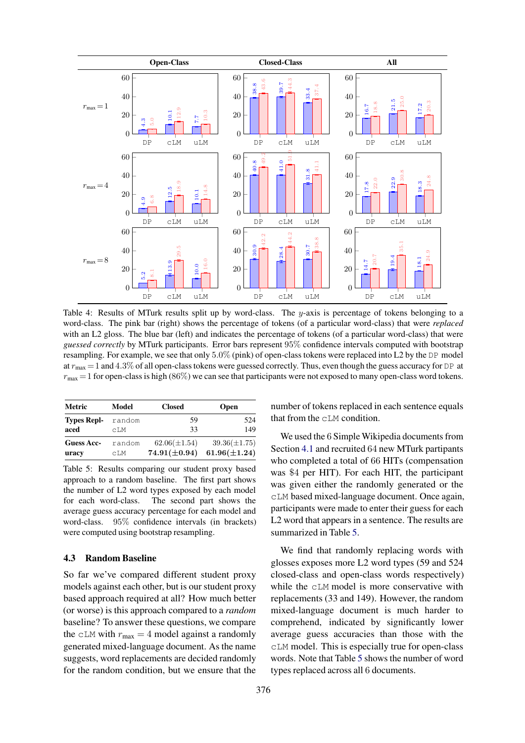<span id="page-7-0"></span>

Table 4: Results of MTurk results split up by word-class. The y-axis is percentage of tokens belonging to a word-class. The pink bar (right) shows the percentage of tokens (of a particular word-class) that were *replaced* with an L2 gloss. The blue bar (left) and indicates the percentage of tokens (of a particular word-class) that were *guessed correctly* by MTurk participants. Error bars represent 95% confidence intervals computed with bootstrap resampling. For example, we see that only 5.0% (pink) of open-class tokens were replaced into L2 by the DP model at  $r_{\text{max}} = 1$  and 4.3% of all open-class tokens were guessed correctly. Thus, even though the guess accuracy for DP at  $r_{\text{max}} = 1$  for open-class is high (86%) we can see that participants were not exposed to many open-class word tokens.

<span id="page-7-1"></span>

| Metric             | Model  | <b>Closed</b>     | <b>Open</b>       |
|--------------------|--------|-------------------|-------------------|
| <b>Types Repl-</b> | random | 59                | 524               |
| aced               | cT.M   | 33                | 149               |
| Guess Acc-         | random | $62.06(\pm 1.54)$ | $39.36(\pm 1.75)$ |
| uracy              | cT.M   | $74.91(\pm 0.94)$ | $61.96(\pm 1.24)$ |

Table 5: Results comparing our student proxy based approach to a random baseline. The first part shows the number of L2 word types exposed by each model for each word-class. The second part shows the average guess accuracy percentage for each model and word-class. 95% confidence intervals (in brackets) were computed using bootstrap resampling.

# 4.3 Random Baseline

So far we've compared different student proxy models against each other, but is our student proxy based approach required at all? How much better (or worse) is this approach compared to a *random* baseline? To answer these questions, we compare the cLM with  $r_{\text{max}} = 4$  model against a randomly generated mixed-language document. As the name suggests, word replacements are decided randomly for the random condition, but we ensure that the

number of tokens replaced in each sentence equals that from the cLM condition.

We used the 6 Simple Wikipedia documents from Section [4.1](#page-5-5) and recruited 64 new MTurk partipants who completed a total of 66 HITs (compensation was \$4 per HIT). For each HIT, the participant was given either the randomly generated or the cLM based mixed-language document. Once again, participants were made to enter their guess for each L2 word that appears in a sentence. The results are summarized in Table [5.](#page-7-1)

We find that randomly replacing words with glosses exposes more L2 word types (59 and 524 closed-class and open-class words respectively) while the cLM model is more conservative with replacements (33 and 149). However, the random mixed-language document is much harder to comprehend, indicated by significantly lower average guess accuracies than those with the cLM model. This is especially true for open-class words. Note that Table [5](#page-7-1) shows the number of word types replaced across all 6 documents.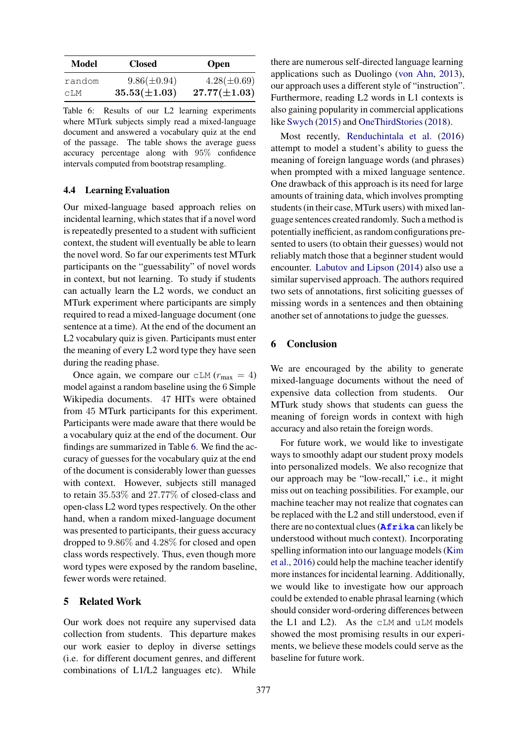<span id="page-8-0"></span>

| Model  | <b>Closed</b>     | <b>Open</b>       |
|--------|-------------------|-------------------|
| random | $9.86(\pm 0.94)$  | $4.28(\pm 0.69)$  |
| CLM    | $35.53(\pm 1.03)$ | $27.77(\pm 1.03)$ |

Table 6: Results of our L2 learning experiments where MTurk subjects simply read a mixed-language document and answered a vocabulary quiz at the end of the passage. The table shows the average guess accuracy percentage along with 95% confidence intervals computed from bootstrap resampling.

# 4.4 Learning Evaluation

Our mixed-language based approach relies on incidental learning, which states that if a novel word is repeatedly presented to a student with sufficient context, the student will eventually be able to learn the novel word. So far our experiments test MTurk participants on the "guessability" of novel words in context, but not learning. To study if students can actually learn the L2 words, we conduct an MTurk experiment where participants are simply required to read a mixed-language document (one sentence at a time). At the end of the document an L2 vocabulary quiz is given. Participants must enter the meaning of every L2 word type they have seen during the reading phase.

Once again, we compare our  $CLM (r_{max} = 4)$ model against a random baseline using the 6 Simple Wikipedia documents. 47 HITs were obtained from 45 MTurk participants for this experiment. Participants were made aware that there would be a vocabulary quiz at the end of the document. Our findings are summarized in Table [6.](#page-8-0) We find the accuracy of guesses for the vocabulary quiz at the end of the document is considerably lower than guesses with context. However, subjects still managed to retain 35.53% and 27.77% of closed-class and open-class L2 word types respectively. On the other hand, when a random mixed-language document was presented to participants, their guess accuracy dropped to 9.86% and 4.28% for closed and open class words respectively. Thus, even though more word types were exposed by the random baseline, fewer words were retained.

#### 5 Related Work

Our work does not require any supervised data collection from students. This departure makes our work easier to deploy in diverse settings (i.e. for different document genres, and different combinations of L1/L2 languages etc). While there are numerous self-directed language learning applications such as Duolingo [\(von Ahn,](#page-9-16) [2013\)](#page-9-16), our approach uses a different style of "instruction". Furthermore, reading L2 words in L1 contexts is also gaining popularity in commercial applications like [Swych](#page-9-17) [\(2015\)](#page-9-17) and [OneThirdStories](#page-9-18) [\(2018\)](#page-9-18).

Most recently, [Renduchintala et al.](#page-9-3) [\(2016\)](#page-9-3) attempt to model a student's ability to guess the meaning of foreign language words (and phrases) when prompted with a mixed language sentence. One drawback of this approach is its need for large amounts of training data, which involves prompting students (in their case, MTurk users) with mixed language sentences created randomly. Such a method is potentially inefficient, as random configurations presented to users (to obtain their guesses) would not reliably match those that a beginner student would encounter. [Labutov and Lipson](#page-9-4) [\(2014\)](#page-9-4) also use a similar supervised approach. The authors required two sets of annotations, first soliciting guesses of missing words in a sentences and then obtaining another set of annotations to judge the guesses.

#### 6 Conclusion

We are encouraged by the ability to generate mixed-language documents without the need of expensive data collection from students. Our MTurk study shows that students can guess the meaning of foreign words in context with high accuracy and also retain the foreign words.

For future work, we would like to investigate ways to smoothly adapt our student proxy models into personalized models. We also recognize that our approach may be "low-recall," i.e., it might miss out on teaching possibilities. For example, our machine teacher may not realize that cognates can be replaced with the L2 and still understood, even if there are no contextual clues (**Afrika** can likely be understood without much context). Incorporating spelling information into our language models [\(Kim](#page-9-19) [et al.,](#page-9-19) [2016\)](#page-9-19) could help the machine teacher identify more instances for incidental learning. Additionally, we would like to investigate how our approach could be extended to enable phrasal learning (which should consider word-ordering differences between the L1 and L2). As the cLM and uLM models showed the most promising results in our experiments, we believe these models could serve as the baseline for future work.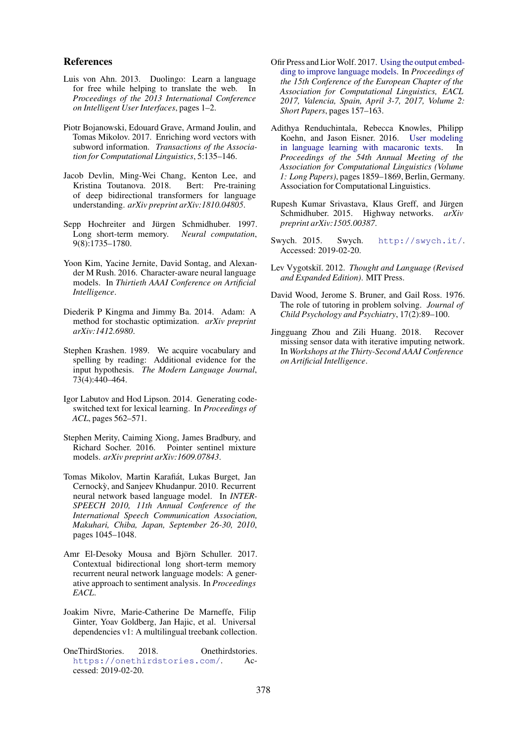#### References

- <span id="page-9-16"></span>Luis von Ahn. 2013. Duolingo: Learn a language for free while helping to translate the web. In *Proceedings of the 2013 International Conference on Intelligent User Interfaces*, pages 1–2.
- <span id="page-9-11"></span>Piotr Bojanowski, Edouard Grave, Armand Joulin, and Tomas Mikolov. 2017. Enriching word vectors with subword information. *Transactions of the Association for Computational Linguistics*, 5:135–146.
- <span id="page-9-12"></span>Jacob Devlin, Ming-Wei Chang, Kenton Lee, and Kristina Toutanova. 2018. Bert: Pre-training of deep bidirectional transformers for language understanding. *arXiv preprint arXiv:1810.04805*.
- <span id="page-9-6"></span>Sepp Hochreiter and Jürgen Schmidhuber. 1997. Long short-term memory. *Neural computation*, 9(8):1735–1780.
- <span id="page-9-19"></span>Yoon Kim, Yacine Jernite, David Sontag, and Alexander M Rush. 2016. Character-aware neural language models. In *Thirtieth AAAI Conference on Artificial Intelligence*.
- <span id="page-9-8"></span>Diederik P Kingma and Jimmy Ba. 2014. Adam: A method for stochastic optimization. *arXiv preprint arXiv:1412.6980*.
- <span id="page-9-0"></span>Stephen Krashen. 1989. We acquire vocabulary and spelling by reading: Additional evidence for the input hypothesis. *The Modern Language Journal*, 73(4):440–464.
- <span id="page-9-4"></span>Igor Labutov and Hod Lipson. 2014. Generating codeswitched text for lexical learning. In *Proceedings of ACL*, pages 562–571.
- <span id="page-9-14"></span>Stephen Merity, Caiming Xiong, James Bradbury, and Richard Socher. 2016. Pointer sentinel mixture models. *arXiv preprint arXiv:1609.07843*.
- <span id="page-9-9"></span>Tomas Mikolov, Martin Karafiát, Lukas Burget, Jan Cernocky, and Sanjeev Khudanpur. 2010. Recurrent ` neural network based language model. In *INTER-SPEECH 2010, 11th Annual Conference of the International Speech Communication Association, Makuhari, Chiba, Japan, September 26-30, 2010*, pages 1045–1048.
- <span id="page-9-5"></span>Amr El-Desoky Mousa and Björn Schuller. 2017. Contextual bidirectional long short-term memory recurrent neural network language models: A generative approach to sentiment analysis. In *Proceedings EACL*.
- <span id="page-9-15"></span>Joakim Nivre, Marie-Catherine De Marneffe, Filip Ginter, Yoav Goldberg, Jan Hajic, et al. Universal dependencies v1: A multilingual treebank collection.
- <span id="page-9-18"></span>OneThirdStories. 2018. Onethirdstories. <https://onethirdstories.com/>. Accessed: 2019-02-20.
- <span id="page-9-7"></span>Ofir Press and LiorWolf. 2017. [Using the output embed](https://aclanthology.info/papers/E17-2025/e17-2025)[ding to improve language models.](https://aclanthology.info/papers/E17-2025/e17-2025) In *Proceedings of the 15th Conference of the European Chapter of the Association for Computational Linguistics, EACL 2017, Valencia, Spain, April 3-7, 2017, Volume 2: Short Papers*, pages 157–163.
- <span id="page-9-3"></span>Adithya Renduchintala, Rebecca Knowles, Philipp Koehn, and Jason Eisner. 2016. [User modeling](https://doi.org/10.18653/v1/P16-1175) [in language learning with macaronic texts.](https://doi.org/10.18653/v1/P16-1175) In *Proceedings of the 54th Annual Meeting of the Association for Computational Linguistics (Volume 1: Long Papers)*, pages 1859–1869, Berlin, Germany. Association for Computational Linguistics.
- <span id="page-9-10"></span>Rupesh Kumar Srivastava, Klaus Greff, and Jürgen Schmidhuber. 2015. Highway networks. *arXiv preprint arXiv:1505.00387*.
- <span id="page-9-17"></span>Swych. 2015. Swych. <http://swych.it/>. Accessed: 2019-02-20.
- <span id="page-9-2"></span>Lev Vygotski˘ı. 2012. *Thought and Language (Revised and Expanded Edition)*. MIT Press.
- <span id="page-9-1"></span>David Wood, Jerome S. Bruner, and Gail Ross. 1976. The role of tutoring in problem solving. *Journal of Child Psychology and Psychiatry*, 17(2):89–100.
- <span id="page-9-13"></span>Jingguang Zhou and Zili Huang. 2018. Recover missing sensor data with iterative imputing network. In *Workshops at the Thirty-Second AAAI Conference on Artificial Intelligence*.